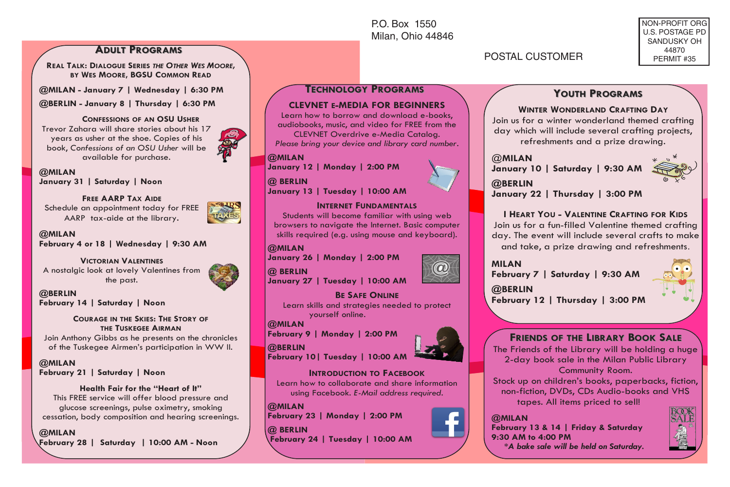P.O. Box 1550 Milan, Ohio 44846

**ADULT PROGRAMS** 

**REAL TALK: DIALOGUE SERIES** *THE OTHER WES MOORE,*  **BY WES MOORE, BGSU COMMON READ**

**@MILAN - January 7 | Wednesday | 6:30 PM**

**@BERLIN - January 8 | Thursday | 6:30 PM**

#### **CONFESSIONS OF AN OSU USHER**

Trevor Zahara will share stories about his 17 years as usher at the shoe. Copies of his book, *Confessions of an OSU Usher* will be available for purchase.

**@MILAN January 31 | Saturday | Noon** 

#### **FREE AARP TAX AIDE** Schedule an appointment today for FREE

AARP tax-aide at the library.



**@MILAN February 4 or 18 | Wednesday | 9:30 AM** 

# **VICTORIAN VALENTINES**

A nostalgic look at lovely Valentines from the past.

**@BERLIN February 14 | Saturday | Noon**

### **COURAGE IN THE SKIES: THE STORY OF THE TUSKEGEE AIRMAN**

Join Anthony Gibbs as he presents on the chronicles of the Tuskegee Airmen's participation in WW II.

**@MILAN February 21 | Saturday | Noon** 

## **Health Fair for the "Heart of It"**

This FREE service will offer blood pressure and glucose screenings, pulse oximetry, smoking cessation, body composition and hearing screenings.

### **@MILAN**

**February 28 | Saturday | 10:00 AM - Noon**

# POSTAL CUSTOMER

NON-PROFIT ORG U.S. POSTAGE PD SANDUSKY OH 44870 PERMIT #35

@**MILAN**

**@BERLIN**

# **TECHNOLOGY ECHNOLOGY PROGRAMS ROGRAMS**

### **CLEVNET E-MEDIA FOR BEGINNERS**

Learn how to borrow and download e-books, audiobooks, music, and video for FREE from the

CLEVNET Overdrive e-Media Catalog. *Please bring your device and library card number*.

#### **@MILAN**

**January 12 | Monday | 2:00 PM** 

**@ BERLIN**

**January 13 | Tuesday | 10:00 AM**

#### **INTERNET FUNDAMENTALS**

Students will become familiar with using web browsers to navigate the Internet. Basic computer skills required (e.g. using mouse and keyboard).

#### **@MILAN**

**January 26 | Monday | 2:00 PM**

**@ BERLIN**

**January 27 | Tuesday | 10:00 AM**

### **BE SAFE ONLINE**

Learn skills and strategies needed to protect yourself online.

#### **@MILAN**

**February 9 | Monday | 2:00 PM**

#### **@BERLIN**

**February 10| Tuesday | 10:00 AM**

### **INTRODUCTION TO FACEBOOK**

Learn how to collaborate and share information using Facebook. *E-Mail address required*.

#### **@MILAN**

**February 23 | Monday | 2:00 PM**

#### **@ BERLIN**

**February 24 | Tuesday | 10:00 AM** 



 $\bm{\varpi}$ 

**January 22 | Thursday | 3:00 PM**

**January 10 | Saturday | 9:30 AM** 

### **I HEART YOU - VALENTINE CRAFTING FOR KIDS**

**YOUTH PROGRAMS** 

**WINTER WONDERLAND CRAFTING DAY** Join us for a winter wonderland themed crafting day which will include several crafting projects, refreshments and a prize drawing.

Join us for a fun-filled Valentine themed crafting day. The event will include several crafts to make and take, a prize drawing and refreshments.

#### **MILAN February 7 | Saturday | 9:30 AM**

**@BERLIN**

**February 12 | Thursday | 3:00 PM**

# **FRIENDS OF THE LIBRARY BOOK SALE**

The Friends of the Library will be holding a huge 2-day book sale in the Milan Public Library

### Community Room.

Stock up on children's books, paperbacks, fiction, non-fiction, DVDs, CDs Audio-books and VHS tapes. All items priced to sell!

### **@MILAN**

**February 13 & 14 | Friday & Saturday 9:30 AM to 4:00 PM**

 **\****A bake sale will be held on Saturday.*